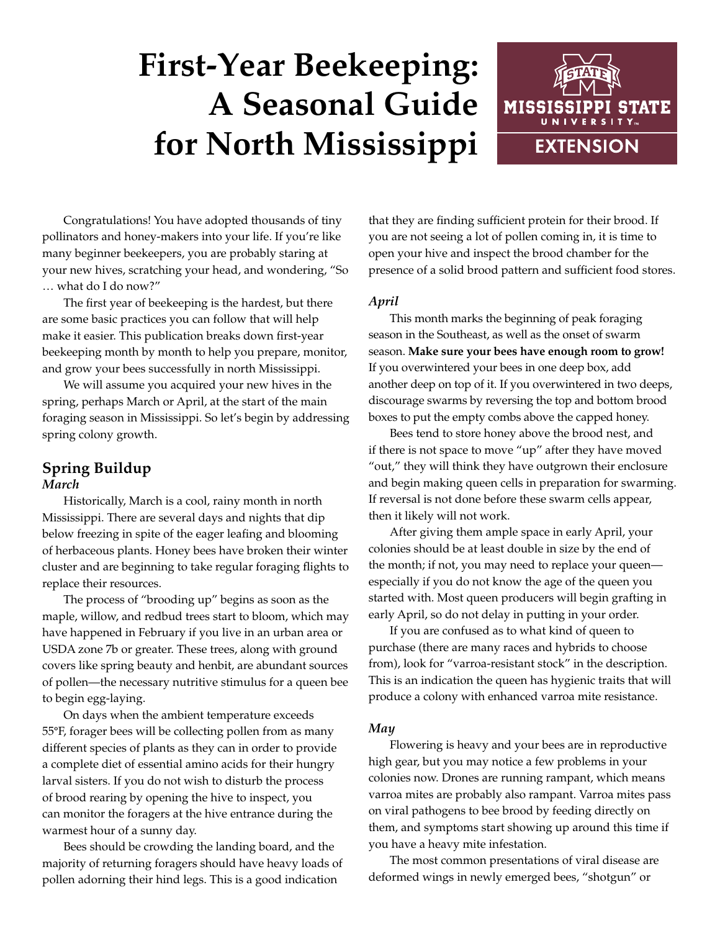# **First-Year Beekeeping: A Seasonal Guide for North Mississippi**



Congratulations! You have adopted thousands of tiny pollinators and honey-makers into your life. If you're like many beginner beekeepers, you are probably staring at your new hives, scratching your head, and wondering, "So … what do I do now?"

The first year of beekeeping is the hardest, but there are some basic practices you can follow that will help make it easier. This publication breaks down first-year beekeeping month by month to help you prepare, monitor, and grow your bees successfully in north Mississippi.

We will assume you acquired your new hives in the spring, perhaps March or April, at the start of the main foraging season in Mississippi. So let's begin by addressing spring colony growth.

## **Spring Buildup** *March*

Historically, March is a cool, rainy month in north Mississippi. There are several days and nights that dip below freezing in spite of the eager leafing and blooming of herbaceous plants. Honey bees have broken their winter cluster and are beginning to take regular foraging flights to replace their resources.

The process of "brooding up" begins as soon as the maple, willow, and redbud trees start to bloom, which may have happened in February if you live in an urban area or USDA zone 7b or greater. These trees, along with ground covers like spring beauty and henbit, are abundant sources of pollen—the necessary nutritive stimulus for a queen bee to begin egg-laying.

On days when the ambient temperature exceeds 55°F, forager bees will be collecting pollen from as many different species of plants as they can in order to provide a complete diet of essential amino acids for their hungry larval sisters. If you do not wish to disturb the process of brood rearing by opening the hive to inspect, you can monitor the foragers at the hive entrance during the warmest hour of a sunny day.

Bees should be crowding the landing board, and the majority of returning foragers should have heavy loads of pollen adorning their hind legs. This is a good indication

that they are finding sufficient protein for their brood. If you are not seeing a lot of pollen coming in, it is time to open your hive and inspect the brood chamber for the presence of a solid brood pattern and sufficient food stores.

# *April*

This month marks the beginning of peak foraging season in the Southeast, as well as the onset of swarm season. **Make sure your bees have enough room to grow!** If you overwintered your bees in one deep box, add another deep on top of it. If you overwintered in two deeps, discourage swarms by reversing the top and bottom brood boxes to put the empty combs above the capped honey.

Bees tend to store honey above the brood nest, and if there is not space to move "up" after they have moved "out," they will think they have outgrown their enclosure and begin making queen cells in preparation for swarming. If reversal is not done before these swarm cells appear, then it likely will not work.

After giving them ample space in early April, your colonies should be at least double in size by the end of the month; if not, you may need to replace your queen especially if you do not know the age of the queen you started with. Most queen producers will begin grafting in early April, so do not delay in putting in your order.

If you are confused as to what kind of queen to purchase (there are many races and hybrids to choose from), look for "varroa-resistant stock" in the description. This is an indication the queen has hygienic traits that will produce a colony with enhanced varroa mite resistance.

## *May*

Flowering is heavy and your bees are in reproductive high gear, but you may notice a few problems in your colonies now. Drones are running rampant, which means varroa mites are probably also rampant. Varroa mites pass on viral pathogens to bee brood by feeding directly on them, and symptoms start showing up around this time if you have a heavy mite infestation.

The most common presentations of viral disease are deformed wings in newly emerged bees, "shotgun" or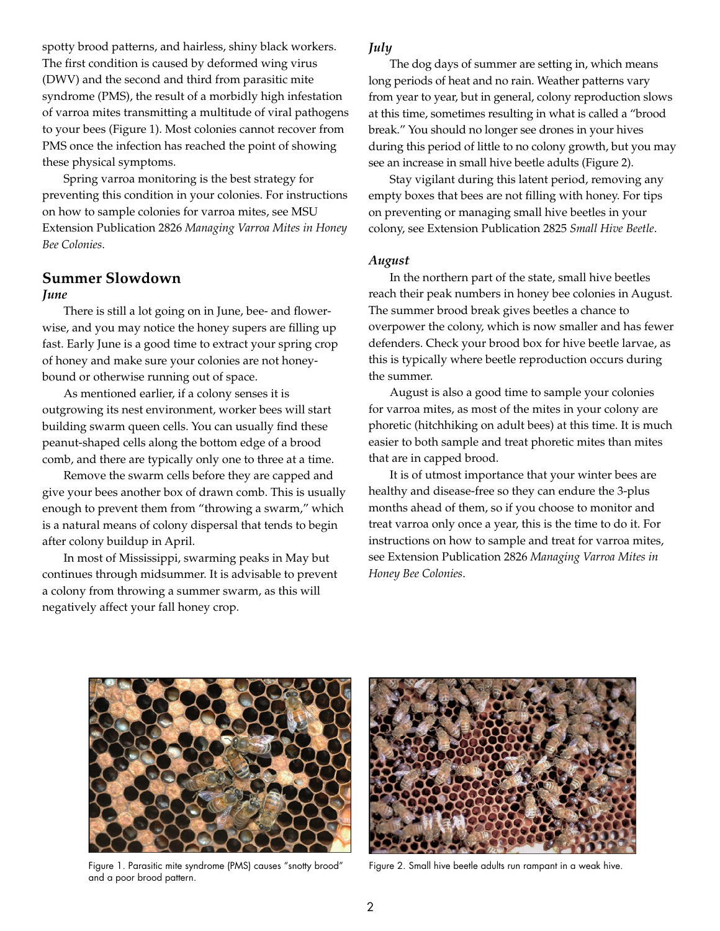spotty brood patterns, and hairless, shiny black workers. The first condition is caused by deformed wing virus (DWV) and the second and third from parasitic mite syndrome (PMS), the result of a morbidly high infestation of varroa mites transmitting a multitude of viral pathogens to your bees (Figure 1). Most colonies cannot recover from PMS once the infection has reached the point of showing these physical symptoms.

Spring varroa monitoring is the best strategy for preventing this condition in your colonies. For instructions on how to sample colonies for varroa mites, see MSU Extension Publication 2826 *[Managing Varroa Mites in Honey](http://extension.msstate.edu/publications/managing-varroa-mites-honey-bee-colonies)  [Bee Colonies](http://extension.msstate.edu/publications/managing-varroa-mites-honey-bee-colonies)*.

## **Summer Slowdown** *June*

There is still a lot going on in June, bee- and flowerwise, and you may notice the honey supers are filling up fast. Early June is a good time to extract your spring crop of honey and make sure your colonies are not honeybound or otherwise running out of space.

As mentioned earlier, if a colony senses it is outgrowing its nest environment, worker bees will start building swarm queen cells. You can usually find these peanut-shaped cells along the bottom edge of a brood comb, and there are typically only one to three at a time.

Remove the swarm cells before they are capped and give your bees another box of drawn comb. This is usually enough to prevent them from "throwing a swarm," which is a natural means of colony dispersal that tends to begin after colony buildup in April.

In most of Mississippi, swarming peaks in May but continues through midsummer. It is advisable to prevent a colony from throwing a summer swarm, as this will negatively affect your fall honey crop.

## *July*

The dog days of summer are setting in, which means long periods of heat and no rain. Weather patterns vary from year to year, but in general, colony reproduction slows at this time, sometimes resulting in what is called a "brood break." You should no longer see drones in your hives during this period of little to no colony growth, but you may see an increase in small hive beetle adults (Figure 2).

Stay vigilant during this latent period, removing any empty boxes that bees are not filling with honey. For tips on preventing or managing small hive beetles in your colony, see Extension [Publication 2825](http://extension.msstate.edu/publications/small-hive-beetle) *Small Hive Beetle*.

#### *August*

In the northern part of the state, small hive beetles reach their peak numbers in honey bee colonies in August. The summer brood break gives beetles a chance to overpower the colony, which is now smaller and has fewer defenders. Check your brood box for hive beetle larvae, as this is typically where beetle reproduction occurs during the summer.

August is also a good time to sample your colonies for varroa mites, as most of the mites in your colony are phoretic (hitchhiking on adult bees) at this time. It is much easier to both sample and treat phoretic mites than mites that are in capped brood.

It is of utmost importance that your winter bees are healthy and disease-free so they can endure the 3-plus months ahead of them, so if you choose to monitor and treat varroa only once a year, this is the time to do it. For instructions on how to sample and treat for varroa mites, see Extension Publication 2826 *[Managing Varroa Mites in](http://extension.msstate.edu/publications/managing-varroa-mites-honey-bee-colonies)  [Honey Bee Colonies](http://extension.msstate.edu/publications/managing-varroa-mites-honey-bee-colonies)*.



Figure 1. Parasitic mite syndrome (PMS) causes "snotty brood" and a poor brood pattern.



Figure 2. Small hive beetle adults run rampant in a weak hive.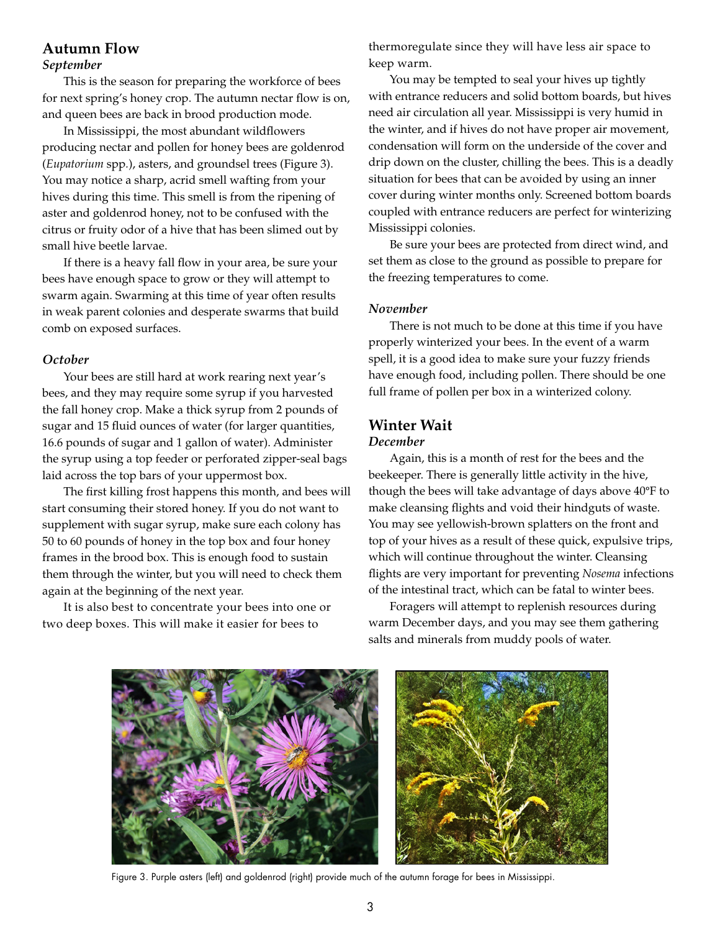# **Autumn Flow** *September*

This is the season for preparing the workforce of bees for next spring's honey crop. The autumn nectar flow is on, and queen bees are back in brood production mode.

In Mississippi, the most abundant wildflowers producing nectar and pollen for honey bees are goldenrod (*Eupatorium* spp*.*), asters, and groundsel trees (Figure 3). You may notice a sharp, acrid smell wafting from your hives during this time. This smell is from the ripening of aster and goldenrod honey, not to be confused with the citrus or fruity odor of a hive that has been slimed out by small hive beetle larvae.

If there is a heavy fall flow in your area, be sure your bees have enough space to grow or they will attempt to swarm again. Swarming at this time of year often results in weak parent colonies and desperate swarms that build comb on exposed surfaces.

## *October*

Your bees are still hard at work rearing next year's bees, and they may require some syrup if you harvested the fall honey crop. Make a thick syrup from 2 pounds of sugar and 15 fluid ounces of water (for larger quantities, 16.6 pounds of sugar and 1 gallon of water). Administer the syrup using a top feeder or perforated zipper-seal bags laid across the top bars of your uppermost box.

The first killing frost happens this month, and bees will start consuming their stored honey. If you do not want to supplement with sugar syrup, make sure each colony has 50 to 60 pounds of honey in the top box and four honey frames in the brood box. This is enough food to sustain them through the winter, but you will need to check them again at the beginning of the next year.

It is also best to concentrate your bees into one or two deep boxes. This will make it easier for bees to

thermoregulate since they will have less air space to keep warm.

You may be tempted to seal your hives up tightly with entrance reducers and solid bottom boards, but hives need air circulation all year. Mississippi is very humid in the winter, and if hives do not have proper air movement, condensation will form on the underside of the cover and drip down on the cluster, chilling the bees. This is a deadly situation for bees that can be avoided by using an inner cover during winter months only. Screened bottom boards coupled with entrance reducers are perfect for winterizing Mississippi colonies.

Be sure your bees are protected from direct wind, and set them as close to the ground as possible to prepare for the freezing temperatures to come.

## *November*

There is not much to be done at this time if you have properly winterized your bees. In the event of a warm spell, it is a good idea to make sure your fuzzy friends have enough food, including pollen. There should be one full frame of pollen per box in a winterized colony.

# **Winter Wait**

## *December*

Again, this is a month of rest for the bees and the beekeeper. There is generally little activity in the hive, though the bees will take advantage of days above 40°F to make cleansing flights and void their hindguts of waste. You may see yellowish-brown splatters on the front and top of your hives as a result of these quick, expulsive trips, which will continue throughout the winter. Cleansing flights are very important for preventing *Nosema* infections of the intestinal tract, which can be fatal to winter bees.

Foragers will attempt to replenish resources during warm December days, and you may see them gathering salts and minerals from muddy pools of water.



Figure 3. Purple asters (left) and goldenrod (right) provide much of the autumn forage for bees in Mississippi.